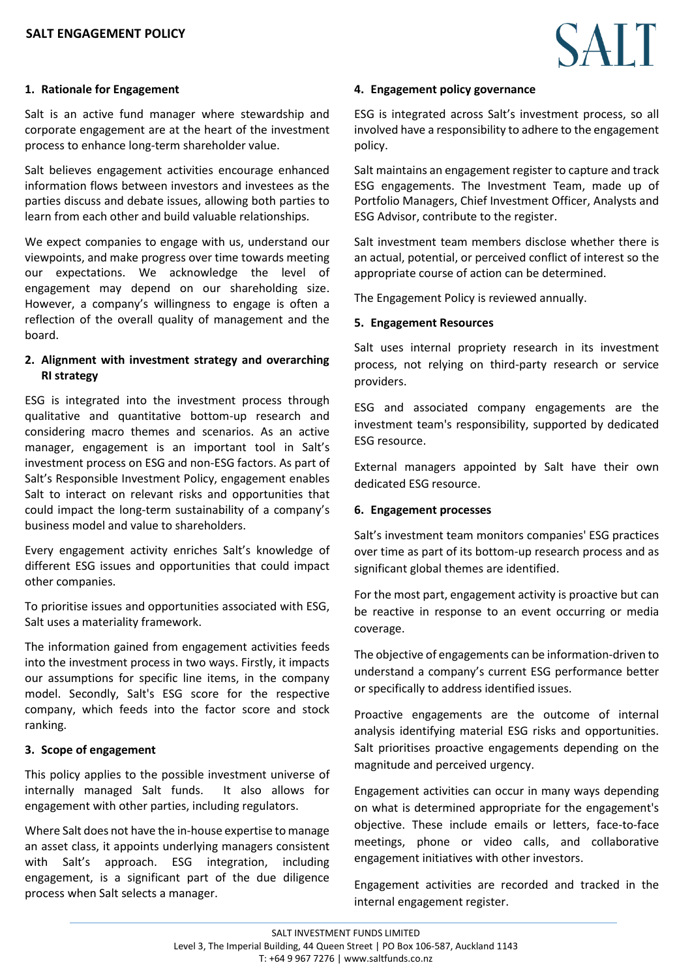## **1. Rationale for Engagement**

Salt is an active fund manager where stewardship and corporate engagement are at the heart of the investment process to enhance long-term shareholder value.

Salt believes engagement activities encourage enhanced information flows between investors and investees as the parties discuss and debate issues, allowing both parties to learn from each other and build valuable relationships.

We expect companies to engage with us, understand our viewpoints, and make progress over time towards meeting our expectations. We acknowledge the level of engagement may depend on our shareholding size. However, a company's willingness to engage is often a reflection of the overall quality of management and the board.

## **2. Alignment with investment strategy and overarching RI strategy**

ESG is integrated into the investment process through qualitative and quantitative bottom-up research and considering macro themes and scenarios. As an active manager, engagement is an important tool in Salt's investment process on ESG and non-ESG factors. As part of Salt's Responsible Investment Policy, engagement enables Salt to interact on relevant risks and opportunities that could impact the long-term sustainability of a company's business model and value to shareholders.

Every engagement activity enriches Salt's knowledge of different ESG issues and opportunities that could impact other companies.

To prioritise issues and opportunities associated with ESG, Salt uses a materiality framework.

The information gained from engagement activities feeds into the investment process in two ways. Firstly, it impacts our assumptions for specific line items, in the company model. Secondly, Salt's ESG score for the respective company, which feeds into the factor score and stock ranking.

## **3. Scope of engagement**

This policy applies to the possible investment universe of internally managed Salt funds. It also allows for engagement with other parties, including regulators.

Where Salt does not have the in-house expertise to manage an asset class, it appoints underlying managers consistent with Salt's approach. ESG integration, including engagement, is a significant part of the due diligence process when Salt selects a manager.

### **4. Engagement policy governance**

ESG is integrated across Salt's investment process, so all involved have a responsibility to adhere to the engagement policy.

Salt maintains an engagement register to capture and track ESG engagements. The Investment Team, made up of Portfolio Managers, Chief Investment Officer, Analysts and ESG Advisor, contribute to the register.

Salt investment team members disclose whether there is an actual, potential, or perceived conflict of interest so the appropriate course of action can be determined.

The Engagement Policy is reviewed annually.

### **5. Engagement Resources**

Salt uses internal propriety research in its investment process, not relying on third-party research or service providers.

ESG and associated company engagements are the investment team's responsibility, supported by dedicated ESG resource.

External managers appointed by Salt have their own dedicated ESG resource.

#### **6. Engagement processes**

Salt's investment team monitors companies' ESG practices over time as part of its bottom-up research process and as significant global themes are identified.

For the most part, engagement activity is proactive but can be reactive in response to an event occurring or media coverage.

The objective of engagements can be information-driven to understand a company's current ESG performance better or specifically to address identified issues.

Proactive engagements are the outcome of internal analysis identifying material ESG risks and opportunities. Salt prioritises proactive engagements depending on the magnitude and perceived urgency.

Engagement activities can occur in many ways depending on what is determined appropriate for the engagement's objective. These include emails or letters, face-to-face meetings, phone or video calls, and collaborative engagement initiatives with other investors.

Engagement activities are recorded and tracked in the internal engagement register.